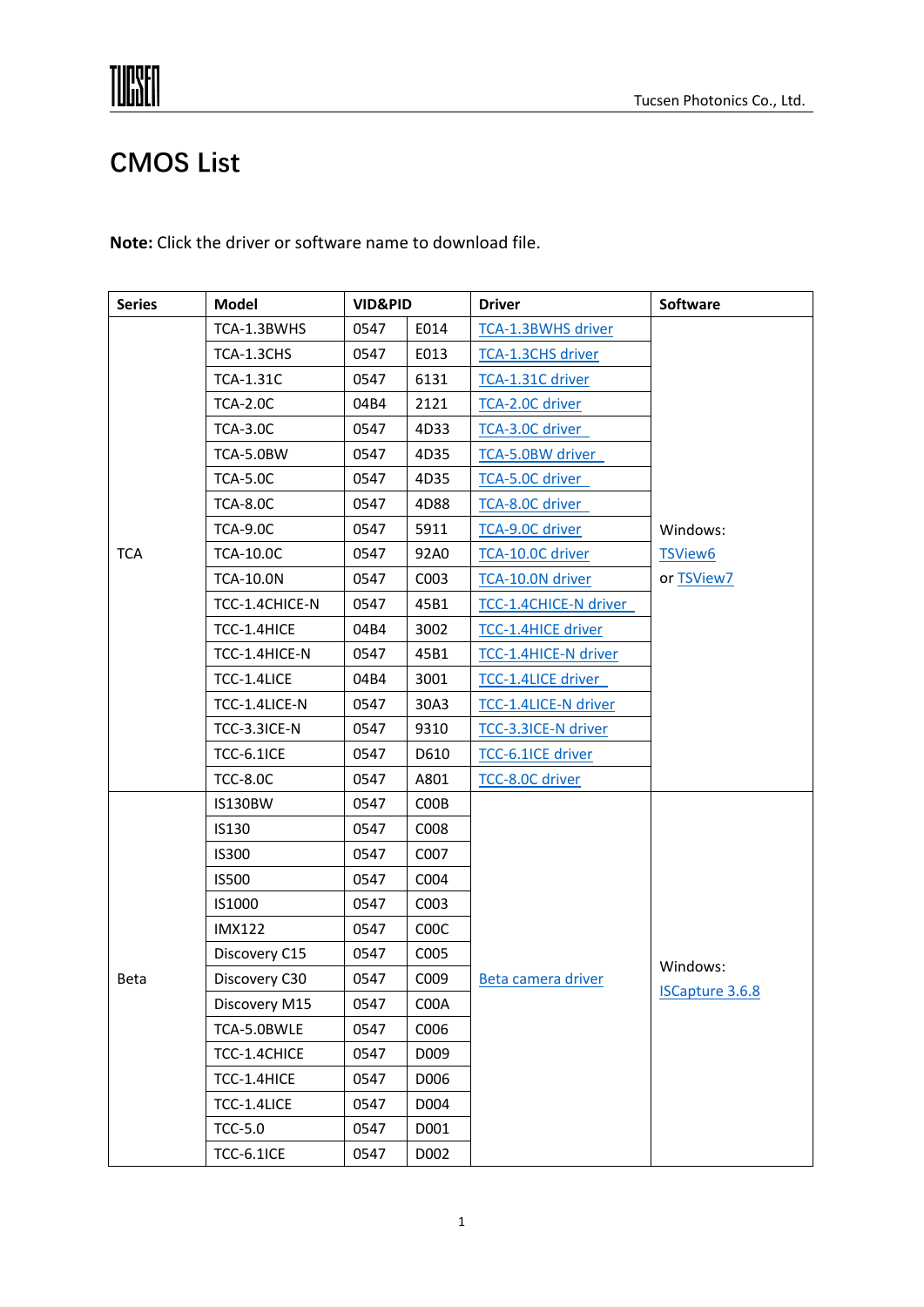# **TUPSEN**

## **CMOS List**

**Note:** Click the driver or software name to download file.

| <b>Series</b> | <b>Model</b>      | <b>VID&amp;PID</b> |      | <b>Driver</b>             | Software                           |
|---------------|-------------------|--------------------|------|---------------------------|------------------------------------|
|               | TCA-1.3BWHS       | 0547               | E014 | TCA-1.3BWHS driver        |                                    |
|               | TCA-1.3CHS        | 0547               | E013 | <b>TCA-1.3CHS driver</b>  |                                    |
|               | <b>TCA-1.31C</b>  | 0547               | 6131 | TCA-1.31C driver          |                                    |
|               | <b>TCA-2.0C</b>   | 04B4               | 2121 | <b>TCA-2.0C driver</b>    |                                    |
|               | <b>TCA-3.0C</b>   | 0547               | 4D33 | TCA-3.0C driver           |                                    |
|               | TCA-5.0BW         | 0547               | 4D35 | TCA-5.0BW driver          |                                    |
|               | <b>TCA-5.0C</b>   | 0547               | 4D35 | TCA-5.0C driver           |                                    |
|               | <b>TCA-8.0C</b>   | 0547               | 4D88 | TCA-8.0C driver           |                                    |
|               | <b>TCA-9.0C</b>   | 0547               | 5911 | <b>TCA-9.0C driver</b>    | Windows:                           |
| <b>TCA</b>    | <b>TCA-10.0C</b>  | 0547               | 92A0 | TCA-10.0C driver          | TSView6                            |
|               | <b>TCA-10.0N</b>  | 0547               | C003 | TCA-10.0N driver          | or TSView7                         |
|               | TCC-1.4CHICE-N    | 0547               | 45B1 | TCC-1.4CHICE-N driver     |                                    |
|               | TCC-1.4HICE       | 04B4               | 3002 | <b>TCC-1.4HICE driver</b> |                                    |
|               | TCC-1.4HICE-N     | 0547               | 45B1 | TCC-1.4HICE-N driver      |                                    |
|               | TCC-1.4LICE       | 04B4               | 3001 | TCC-1.4LICE driver        |                                    |
|               | TCC-1.4LICE-N     | 0547               | 30A3 | TCC-1.4LICE-N driver      |                                    |
|               | TCC-3.3ICE-N      | 0547               | 9310 | TCC-3.3ICE-N driver       |                                    |
|               | <b>TCC-6.1ICE</b> | 0547               | D610 | TCC-6.1ICE driver         |                                    |
|               | <b>TCC-8.0C</b>   | 0547               | A801 | TCC-8.0C driver           |                                    |
|               | <b>IS130BW</b>    | 0547               | COOB |                           | Windows:<br><b>ISCapture 3.6.8</b> |
|               | IS130             | 0547               | C008 |                           |                                    |
|               | <b>IS300</b>      | 0547               | C007 |                           |                                    |
|               | <b>IS500</b>      | 0547               | C004 |                           |                                    |
|               | IS1000            | 0547               | C003 | Beta camera driver        |                                    |
|               | <b>IMX122</b>     | 0547               | COOC |                           |                                    |
|               | Discovery C15     | 0547               | C005 |                           |                                    |
| Beta          | Discovery C30     | 0547               | C009 |                           |                                    |
|               | Discovery M15     | 0547               | C00A |                           |                                    |
|               | TCA-5.0BWLE       | 0547               | C006 |                           |                                    |
|               | TCC-1.4CHICE      | 0547               | D009 |                           |                                    |
|               | TCC-1.4HICE       | 0547               | D006 |                           |                                    |
|               | TCC-1.4LICE       | 0547               | D004 |                           |                                    |
|               | <b>TCC-5.0</b>    | 0547               | D001 |                           |                                    |
|               | <b>TCC-6.1ICE</b> | 0547               | D002 |                           |                                    |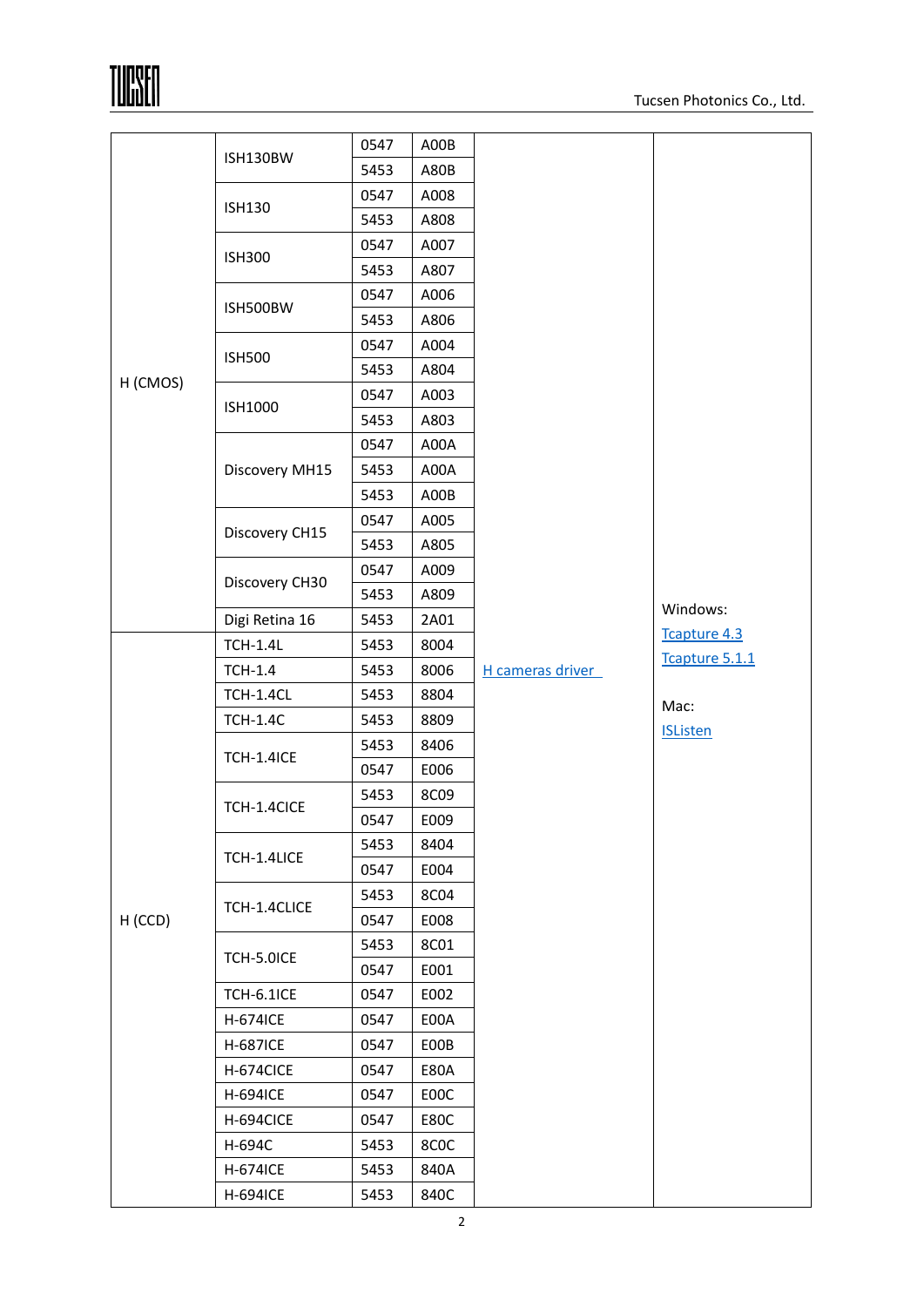**TUPSEN** 

| H (CMOS) |                   | 0547 | A00B        |                  |                 |  |
|----------|-------------------|------|-------------|------------------|-----------------|--|
|          | ISH130BW          | 5453 | A80B        |                  |                 |  |
|          | <b>ISH130</b>     | 0547 | A008        |                  |                 |  |
|          |                   | 5453 | A808        |                  |                 |  |
|          | <b>ISH300</b>     | 0547 | A007        |                  |                 |  |
|          |                   | 5453 | A807        |                  |                 |  |
|          | ISH500BW          | 0547 | A006        |                  |                 |  |
|          |                   | 5453 | A806        |                  |                 |  |
|          | <b>ISH500</b>     | 0547 | A004        |                  |                 |  |
|          |                   | 5453 | A804        |                  |                 |  |
|          | <b>ISH1000</b>    | 0547 | A003        |                  |                 |  |
|          |                   | 5453 | A803        |                  |                 |  |
|          |                   | 0547 | A00A        |                  |                 |  |
|          | Discovery MH15    | 5453 | A00A        |                  |                 |  |
|          |                   | 5453 | A00B        |                  |                 |  |
|          | Discovery CH15    | 0547 | A005        |                  |                 |  |
|          |                   | 5453 | A805        |                  | Windows:        |  |
|          | Discovery CH30    | 0547 | A009        |                  |                 |  |
|          |                   | 5453 | A809        |                  |                 |  |
|          | Digi Retina 16    | 5453 | 2A01        |                  | Tcapture 4.3    |  |
|          | <b>TCH-1.4L</b>   | 5453 | 8004        |                  | Tcapture 5.1.1  |  |
|          | <b>TCH-1.4</b>    | 5453 | 8006        | H cameras driver |                 |  |
|          | <b>TCH-1.4CL</b>  | 5453 | 8804        |                  | Mac:            |  |
|          | <b>TCH-1.4C</b>   | 5453 | 8809        |                  | <b>ISListen</b> |  |
|          | <b>TCH-1.4ICE</b> | 5453 | 8406        |                  |                 |  |
|          |                   | 0547 | E006        |                  |                 |  |
|          | TCH-1.4CICE       | 5453 | 8C09        |                  |                 |  |
|          |                   | 0547 | E009        |                  |                 |  |
| H (CCD)  | TCH-1.4LICE       | 5453 | 8404        |                  |                 |  |
|          |                   | 0547 | E004        |                  |                 |  |
|          | TCH-1.4CLICE      | 5453 | 8C04        |                  |                 |  |
|          |                   | 0547 | E008        |                  |                 |  |
|          | TCH-5.0ICE        | 5453 | <b>8C01</b> |                  |                 |  |
|          |                   | 0547 | E001        |                  |                 |  |
|          | <b>TCH-6.1ICE</b> | 0547 | E002        |                  |                 |  |
|          | <b>H-674ICE</b>   | 0547 | E00A        |                  |                 |  |
|          | <b>H-687ICE</b>   | 0547 | E00B        |                  |                 |  |
|          | H-674CICE         | 0547 | <b>E80A</b> |                  |                 |  |
|          | <b>H-694ICE</b>   | 0547 | E00C        |                  |                 |  |
|          | H-694CICE         | 0547 | E80C        |                  |                 |  |
|          | H-694C            | 5453 | 8COC        |                  |                 |  |
|          | <b>H-674ICE</b>   | 5453 | 840A        |                  |                 |  |
|          | <b>H-694ICE</b>   | 5453 | 840C        |                  |                 |  |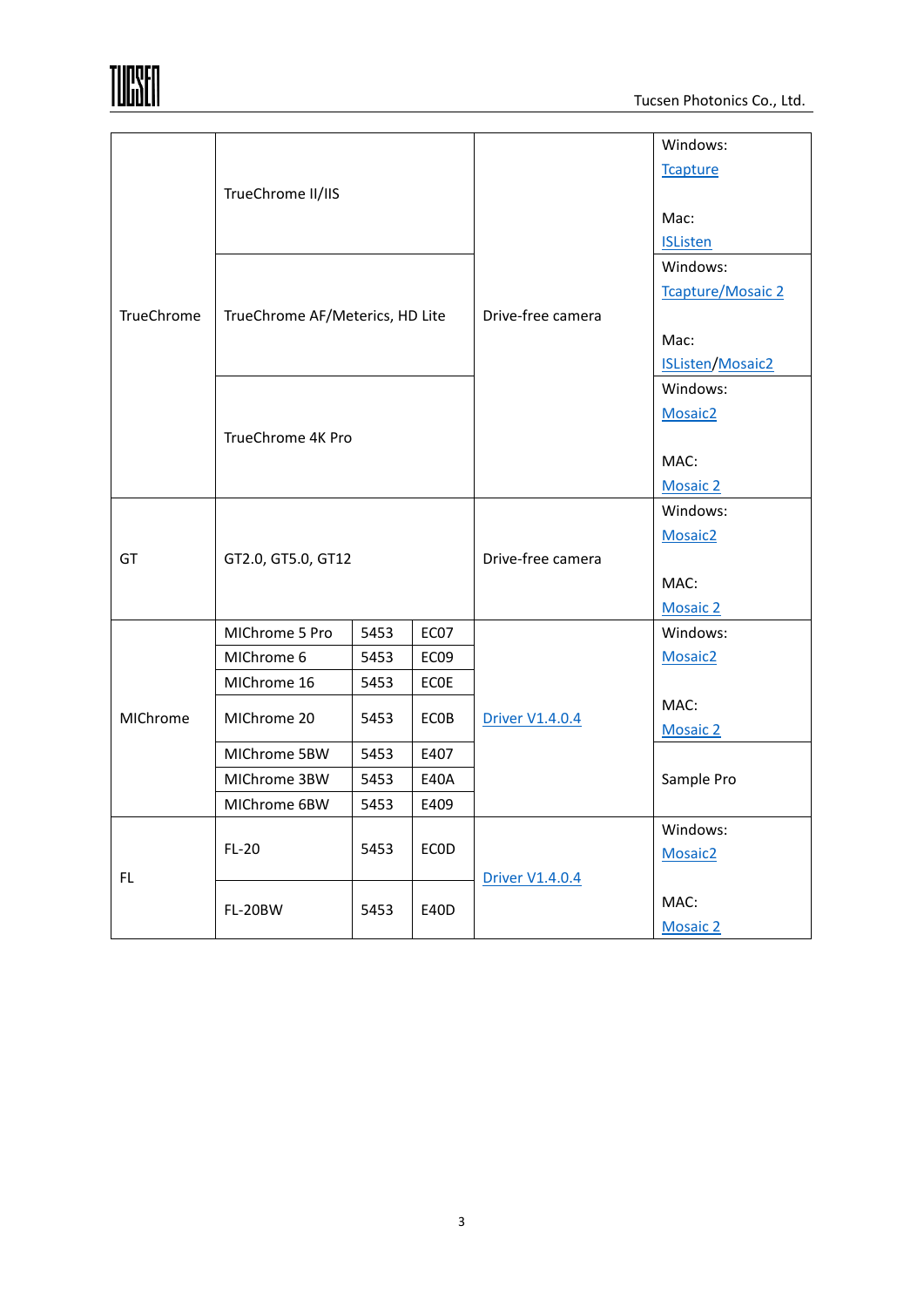|            |                                 |                   |             |                        | Windows:                 |  |
|------------|---------------------------------|-------------------|-------------|------------------------|--------------------------|--|
|            |                                 |                   |             |                        | <b>Tcapture</b>          |  |
| TrueChrome | TrueChrome II/IIS               |                   |             |                        |                          |  |
|            |                                 |                   |             |                        | Mac:                     |  |
|            |                                 |                   |             | Drive-free camera      | <b>ISListen</b>          |  |
|            |                                 |                   |             |                        | Windows:                 |  |
|            |                                 |                   |             |                        | <b>Tcapture/Mosaic 2</b> |  |
|            | TrueChrome AF/Meterics, HD Lite |                   |             |                        |                          |  |
|            |                                 |                   |             |                        | Mac:                     |  |
|            |                                 |                   |             |                        | <b>ISListen/Mosaic2</b>  |  |
|            |                                 |                   |             |                        | Windows:                 |  |
|            |                                 |                   |             |                        | Mosaic <sub>2</sub>      |  |
|            |                                 | TrueChrome 4K Pro |             |                        |                          |  |
|            |                                 |                   |             |                        | MAC:                     |  |
|            |                                 |                   |             |                        | <b>Mosaic 2</b>          |  |
|            |                                 |                   |             |                        | Windows:                 |  |
|            | GT2.0, GT5.0, GT12              |                   |             |                        | Mosaic <sub>2</sub>      |  |
| GT         |                                 |                   |             | Drive-free camera      |                          |  |
|            |                                 |                   |             |                        | MAC:                     |  |
|            |                                 |                   |             |                        | <b>Mosaic 2</b>          |  |
|            | MIChrome 5 Pro                  | 5453              | EC07        |                        | Windows:                 |  |
|            | MIChrome 6                      | 5453              | EC09        |                        | Mosaic <sub>2</sub>      |  |
|            | MIChrome 16                     | 5453              | ECOE        |                        |                          |  |
| MIChrome   | MIChrome 20                     | 5453              | ECOB        | <b>Driver V1.4.0.4</b> | MAC:                     |  |
|            |                                 |                   |             |                        | <b>Mosaic 2</b>          |  |
|            | MIChrome 5BW                    | 5453              | E407        |                        |                          |  |
|            | MIChrome 3BW                    | 5453              | <b>E40A</b> |                        | Sample Pro               |  |
|            | MIChrome 6BW                    | 5453              | E409        |                        |                          |  |
| FL.        | $FL-20$                         | 5453              | <b>ECOD</b> |                        | Windows:                 |  |
|            |                                 |                   |             |                        | Mosaic <sub>2</sub>      |  |
|            | FL-20BW                         | 5453              | E40D        | <b>Driver V1.4.0.4</b> |                          |  |
|            |                                 |                   |             |                        | MAC:                     |  |
|            |                                 |                   |             |                        | <b>Mosaic 2</b>          |  |